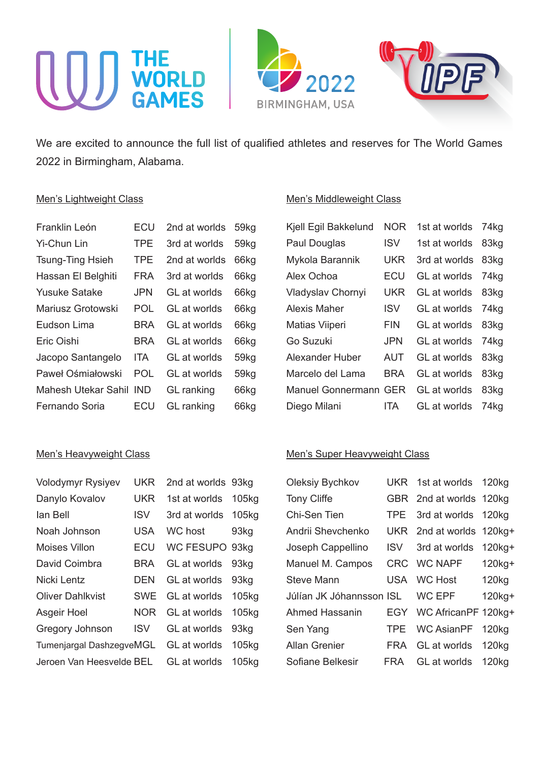

We are excited to announce the full list of qualified athletes and reserves for The World Games 2022 in Birmingham, Alabama.

#### Men's Lightweight Class

| Franklin León           | ECU        | 2nd at worlds     | 59kg             |
|-------------------------|------------|-------------------|------------------|
| Yi-Chun Lin             | TPE        | 3rd at worlds     | 59kg             |
| <b>Tsung-Ting Hsieh</b> | <b>TPE</b> | 2nd at worlds     | 66kg             |
| Hassan El Belghiti      | FRA        | 3rd at worlds     | 66kg             |
| Yusuke Satake           | JPN        | GL at worlds      | 66kg             |
| Mariusz Grotowski       | <b>POL</b> | GL at worlds      | 66kg             |
| Eudson Lima             | BRA        | GL at worlds      | 66kg             |
| Eric Oishi              | BRA        | GL at worlds      | 66kg             |
| Jacopo Santangelo       | ITA.       | GL at worlds      | 59 <sub>kg</sub> |
| Paweł Ośmiałowski       | <b>POL</b> | GL at worlds      | 59 <sub>kg</sub> |
| Mahesh Utekar Sahil     | IND.       | <b>GL</b> ranking | 66kg             |
| Fernando Soria          | FCU        | <b>GL</b> ranking | 66kg             |

# Men's Heavyweight Class

| <b>Volodymyr Rysiyev</b> | UKR | 2nd at worlds 93kg  |                   |
|--------------------------|-----|---------------------|-------------------|
| Danylo Kovalov           | UKR | 1st at worlds       | 105 <sub>kg</sub> |
| lan Bell                 | ISV | 3rd at worlds       | 105 <sub>kg</sub> |
| Noah Johnson             | USA | <b>WC</b> host      | 93kg              |
| Moises Villon            | ECU | <b>WC FESUPO</b>    | 93kg              |
| David Coimbra            | BRA | <b>GL</b> at worlds | 93ka              |
| Nicki Lentz              | DEN | <b>GL</b> at worlds | 93 <sub>kg</sub>  |
| <b>Oliver Dahlkvist</b>  | SWE | GL at worlds        | 105kg             |
| Asgeir Hoel              | NOR | GL at worlds        | 105 <sub>kg</sub> |
| Gregory Johnson          | ISV | GL at worlds        | 93kg              |
| Tumenjargal DashzegveMGL |     | <b>GL</b> at worlds | 105kg             |
| Jeroen Van Heesvelde BEL |     | GL at worlds        | 105kg             |

## Men's Middleweight Class

| Kjell Egil Bakkelund         | <b>NOR</b> | 1st at worlds | 74kg             |
|------------------------------|------------|---------------|------------------|
| Paul Douglas                 | ISV        | 1st at worlds | 83kg             |
| Mykola Barannik              | <b>UKR</b> | 3rd at worlds | 83 <sub>kg</sub> |
| Alex Ochoa                   | ECU        | GL at worlds  | 74kg             |
| Vladyslav Chornyi            | <b>UKR</b> | GL at worlds  | 83kg             |
| Alexis Maher                 | <b>ISV</b> | GL at worlds  | 74kg             |
| Matias Viiperi               | <b>FIN</b> | GL at worlds  | 83kg             |
| Go Suzuki                    | <b>JPN</b> | GL at worlds  | 74kg             |
| Alexander Huber              | AUT        | GL at worlds  | 83kg             |
| Marcelo del Lama             | <b>BRA</b> | GL at worlds  | 83kg             |
| <b>Manuel Gonnermann GER</b> |            | GL at worlds  | 83ka             |
| Diego Milani                 | ITA        | GL at worlds  | 74kg             |

## Men's Super Heavyweight Class

| <b>Oleksiy Bychkov</b>   |            | UKR 1st at worlds 120kg  |                   |
|--------------------------|------------|--------------------------|-------------------|
| <b>Tony Cliffe</b>       |            | GBR 2nd at worlds 120kg  |                   |
| Chi-Sen Tien             | TPE.       | 3rd at worlds 120kg      |                   |
| Andrii Shevchenko        |            | UKR 2nd at worlds 120kg+ |                   |
| Joseph Cappellino        | ISV.       | 3rd at worlds            | $120kg+$          |
| Manuel M. Campos         |            | CRC WC NAPF              | 120kg+            |
| Steve Mann               | USA        | <b>WC Host</b>           | 120kg             |
| Júlían JK Jóhannsson ISL |            | <b>WC EPF</b>            | 120kg+            |
| Ahmed Hassanin           |            | EGY WC AfricanPF 120kg+  |                   |
| Sen Yang                 | <b>TPE</b> | WC AsianPF               | 120 <sub>kg</sub> |
| <b>Allan Grenier</b>     | FRA        | GL at worlds             | 120 <sub>kg</sub> |
| Sofiane Belkesir         | FRA        | GL at worlds             | 120kg             |